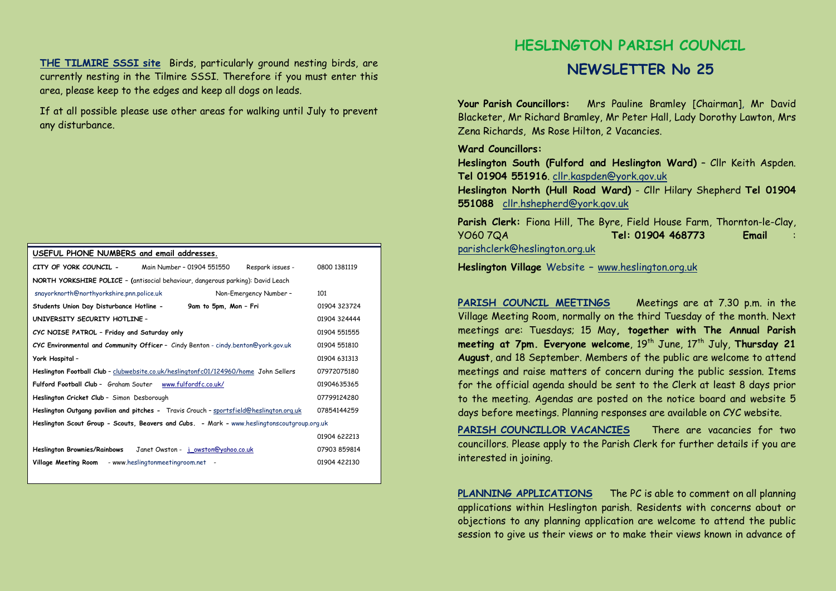**THE TILMIRE SSSI site** Birds, particularly ground nesting birds, are currently nesting in the Tilmire SSSI. Therefore if you must enter this area, please keep to the edges and keep all dogs on leads.

If at all possible please use other areas for walking until July to prevent any disturbance.

## **USEFUL PHONE NUMBERS and email addresses. CITY OF YORK COUNCIL -** Main Number – 01904 551550 Respark issues - 0800 1381119 **NORTH YORKSHIRE POLICE – (**antisocial behaviour, dangerous parking): David Leach snayorknorth@northyorkshire.pnn.police.uk Non-Emergency Number – 101**Students Union Day Disturbance Hotline - 9am to 5pm, Mon – Fri** 01904 323724 **UNIVERSITY SECURITY HOTLINE** – 01904 324444 **CYC NOISE PATROL – Friday and Saturday only** 01904 551555 **CYC Environmental and Community Officer** – Cindy Benton - cindy.benton@york.gov.uk 01904 551810**York Hospital** – 01904 631313 **Heslington Football Club** – clubwebsite.co.uk/heslingtonfc01/124960/home John Sellers 07972075180 **Fulford Football Club** – Graham Souter www.fulfordfc.co.uk/ <sup>01904635365</sup>**Heslington Cricket Club** – Simon Desborough 07799124280 **Heslington Outgang pavilion and pitches -** Travis Crouch – sportsfield@heslington.org.uk 07854144259 **Heslington Scout Group - Scouts, Beavers and Cubs. -** Mark **-** www.heslingtonscoutgroup.org.uk 01904 622213 **Heslington Brownies/Rainbows** Janet Owston - j\_owston@yahoo.co.uk 07903 859814Village Meeting Room - www.heslingtonmeetingroom.net - 01904 422130

## **HESLINGTON PARISH COUNCIL**

## **NEWSLETTER No 25**

**Your Parish Councillors:** Mrs Pauline Bramley [Chairman], Mr David Blacketer, Mr Richard Bramley, Mr Peter Hall, Lady Dorothy Lawton, Mrs Zena Richards, Ms Rose Hilton, 2 Vacancies.

## **Ward Councillors:**

 **Heslington South (Fulford and Heslington Ward)** – Cllr Keith Aspden. **Tel 01904 551916**. cllr.kaspden@york.gov.uk

 **Heslington North (Hull Road Ward)** - Cllr Hilary Shepherd **Tel 01904 551088** cllr.hshepherd@york.gov.uk

**Parish Clerk:** Fiona Hill, The Byre, Field House Farm, Thornton-le-Clay, YO60 7QA **Tel: 01904 468773 Email** : parishclerk@heslington.org.uk

**Heslington Village** Website **–** www.heslington.org.uk

**PARISH COUNCIL MEETINGS** Meetings are at 7.30 p.m. in the Village Meeting Room, normally on the third Tuesday of the month. Next meetings are: Tuesdays; 15 May**, together with The Annual Parish meeting at 7pm. Everyone welcome**, 19<sup>th</sup> June, 17<sup>th</sup> July, **Thursday 21 August**, and 18 September. Members of the public are welcome to attend meetings and raise matters of concern during the public session. Items for the official agenda should be sent to the Clerk at least 8 days prior to the meeting. Agendas are posted on the notice board and website 5 days before meetings. Planning responses are available on CYC website.

**PARISH COUNCILLOR VACANCIES** There are vacancies for two councillors. Please apply to the Parish Clerk for further details if you are interested in joining.

**PLANNING APPLICATIONS** The PC is able to comment on all planning applications within Heslington parish. Residents with concerns about or objections to any planning application are welcome to attend the public session to give us their views or to make their views known in advance of